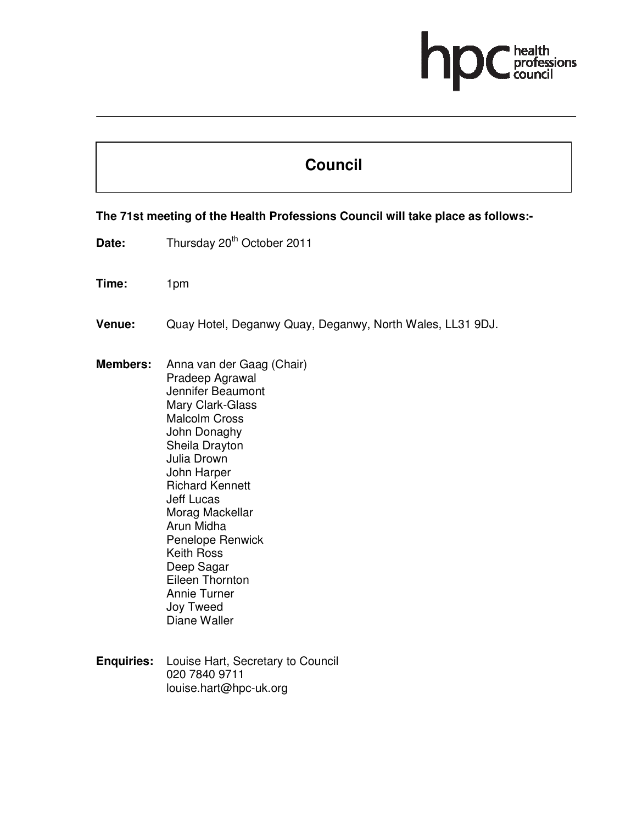# ofessions

## **Council**

### **The 71st meeting of the Health Professions Council will take place as follows:-**

Date: Thursday 20<sup>th</sup> October 2011

**Time:** 1pm

- **Venue:** Quay Hotel, Deganwy Quay, Deganwy, North Wales, LL31 9DJ.
- **Members:** Anna van der Gaag (Chair) Pradeep Agrawal Jennifer Beaumont Mary Clark-Glass Malcolm Cross John Donaghy Sheila Drayton Julia Drown John Harper Richard Kennett Jeff Lucas Morag Mackellar Arun Midha Penelope Renwick Keith Ross Deep Sagar Eileen Thornton Annie Turner Joy Tweed Diane Waller
- **Enquiries:** Louise Hart, Secretary to Council 020 7840 9711 louise.hart@hpc-uk.org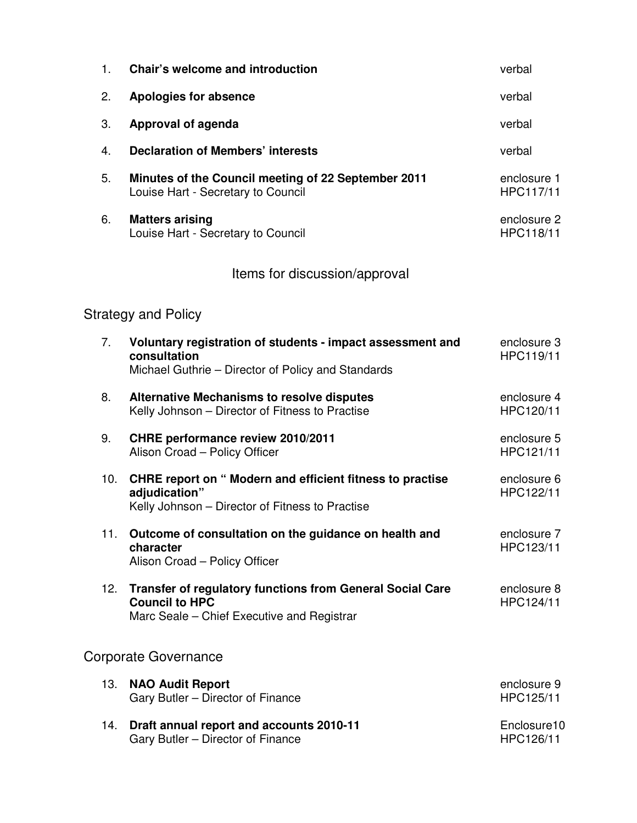| 1.  | Chair's welcome and introduction                                                                                                        | verbal                   |
|-----|-----------------------------------------------------------------------------------------------------------------------------------------|--------------------------|
| 2.  | <b>Apologies for absence</b>                                                                                                            | verbal                   |
| 3.  | <b>Approval of agenda</b>                                                                                                               | verbal                   |
| 4.  | <b>Declaration of Members' interests</b>                                                                                                | verbal                   |
| 5.  | Minutes of the Council meeting of 22 September 2011<br>Louise Hart - Secretary to Council                                               | enclosure 1<br>HPC117/11 |
| 6.  | <b>Matters arising</b><br>Louise Hart - Secretary to Council                                                                            | enclosure 2<br>HPC118/11 |
|     | Items for discussion/approval                                                                                                           |                          |
|     | <b>Strategy and Policy</b>                                                                                                              |                          |
| 7.  | Voluntary registration of students - impact assessment and<br>consultation<br>Michael Guthrie - Director of Policy and Standards        | enclosure 3<br>HPC119/11 |
| 8.  | <b>Alternative Mechanisms to resolve disputes</b><br>Kelly Johnson - Director of Fitness to Practise                                    | enclosure 4<br>HPC120/11 |
| 9.  | CHRE performance review 2010/2011<br>Alison Croad - Policy Officer                                                                      | enclosure 5<br>HPC121/11 |
| 10. | <b>CHRE report on " Modern and efficient fitness to practise</b><br>adjudication"<br>Kelly Johnson - Director of Fitness to Practise    | enclosure 6<br>HPC122/11 |
| 11. | Outcome of consultation on the guidance on health and<br>character<br>Alison Croad - Policy Officer                                     | enclosure 7<br>HPC123/11 |
| 12. | <b>Transfer of regulatory functions from General Social Care</b><br><b>Council to HPC</b><br>Marc Seale – Chief Executive and Registrar | enclosure 8<br>HPC124/11 |
|     | <b>Corporate Governance</b>                                                                                                             |                          |
| 13. | <b>NAO Audit Report</b><br>Gary Butler - Director of Finance                                                                            | enclosure 9<br>HPC125/11 |

14. **Draft annual report and accounts 2010-11**  Gary Butler – Director of Finance Enclosure10 HPC126/11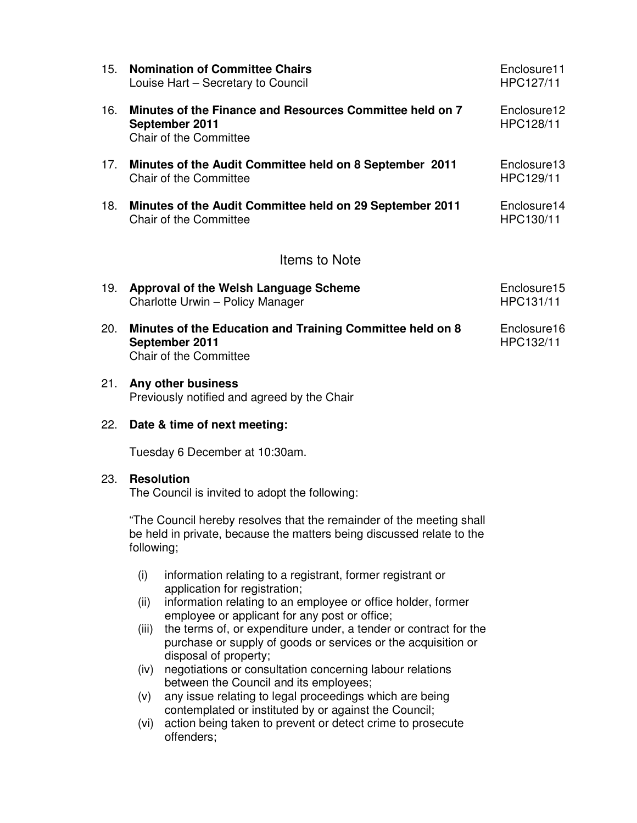| 15.           | <b>Nomination of Committee Chairs</b><br>Louise Hart – Secretary to Council                           | Enclosure11<br>HPC127/11 |  |  |  |
|---------------|-------------------------------------------------------------------------------------------------------|--------------------------|--|--|--|
| 16.           | Minutes of the Finance and Resources Committee held on 7<br>September 2011<br>Chair of the Committee  | Enclosure12<br>HPC128/11 |  |  |  |
| 17.           | Minutes of the Audit Committee held on 8 September 2011<br>Chair of the Committee                     | Enclosure13<br>HPC129/11 |  |  |  |
| 18.           | Minutes of the Audit Committee held on 29 September 2011<br>Chair of the Committee                    | Enclosure14<br>HPC130/11 |  |  |  |
| Items to Note |                                                                                                       |                          |  |  |  |
| 19.           | Approval of the Welsh Language Scheme<br>Charlotte Urwin - Policy Manager                             | Enclosure15<br>HPC131/11 |  |  |  |
| 20.           | Minutes of the Education and Training Committee held on 8<br>September 2011<br>Chair of the Committee | Enclosure16<br>HPC132/11 |  |  |  |

#### 21. **Any other business**  Previously notified and agreed by the Chair

#### 22. **Date & time of next meeting:**

Tuesday 6 December at 10:30am.

#### 23. **Resolution**

The Council is invited to adopt the following:

"The Council hereby resolves that the remainder of the meeting shall be held in private, because the matters being discussed relate to the following;

- (i) information relating to a registrant, former registrant or application for registration;
- (ii) information relating to an employee or office holder, former employee or applicant for any post or office;
- (iii) the terms of, or expenditure under, a tender or contract for the purchase or supply of goods or services or the acquisition or disposal of property;
- (iv) negotiations or consultation concerning labour relations between the Council and its employees;
- (v) any issue relating to legal proceedings which are being contemplated or instituted by or against the Council;
- (vi) action being taken to prevent or detect crime to prosecute offenders;